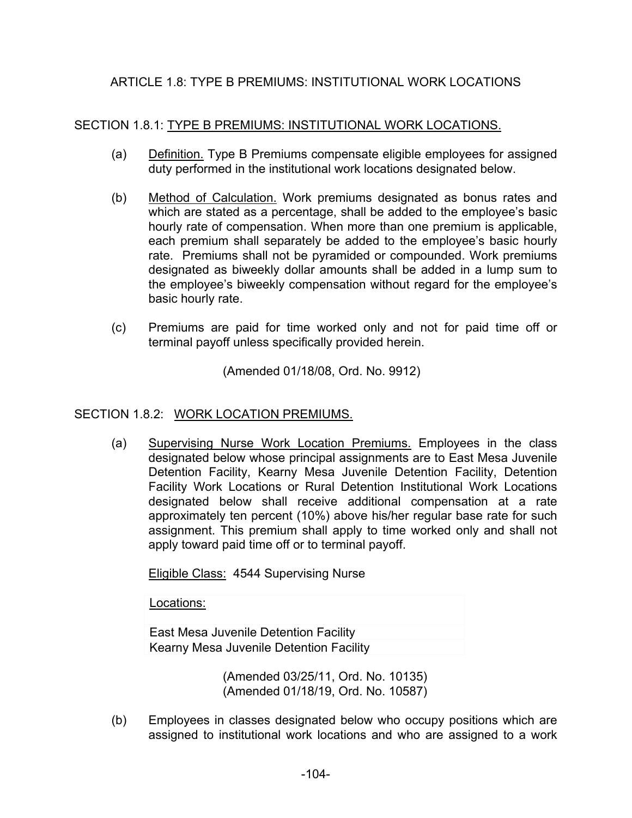# ARTICLE 1.8: TYPE B PREMIUMS: INSTITUTIONAL WORK LOCATIONS

### SECTION 1.8.1: TYPE B PREMIUMS: INSTITUTIONAL WORK LOCATIONS.

- (a) Definition. Type B Premiums compensate eligible employees for assigned duty performed in the institutional work locations designated below.
- (b) Method of Calculation. Work premiums designated as bonus rates and which are stated as a percentage, shall be added to the employee's basic hourly rate of compensation. When more than one premium is applicable, each premium shall separately be added to the employee's basic hourly rate. Premiums shall not be pyramided or compounded. Work premiums designated as biweekly dollar amounts shall be added in a lump sum to the employee's biweekly compensation without regard for the employee's basic hourly rate.
- (c) Premiums are paid for time worked only and not for paid time off or terminal payoff unless specifically provided herein.

(Amended 01/18/08, Ord. No. 9912)

#### SECTION 1.8.2: WORK LOCATION PREMIUMS.

(a) Supervising Nurse Work Location Premiums. Employees in the class designated below whose principal assignments are to East Mesa Juvenile Detention Facility, Kearny Mesa Juvenile Detention Facility, Detention Facility Work Locations or Rural Detention Institutional Work Locations designated below shall receive additional compensation at a rate approximately ten percent (10%) above his/her regular base rate for such assignment. This premium shall apply to time worked only and shall not apply toward paid time off or to terminal payoff.

Eligible Class: 4544 Supervising Nurse

Locations:

East Mesa Juvenile Detention Facility Kearny Mesa Juvenile Detention Facility

> (Amended 03/25/11, Ord. No. 10135) (Amended 01/18/19, Ord. No. 10587)

(b) Employees in classes designated below who occupy positions which are assigned to institutional work locations and who are assigned to a work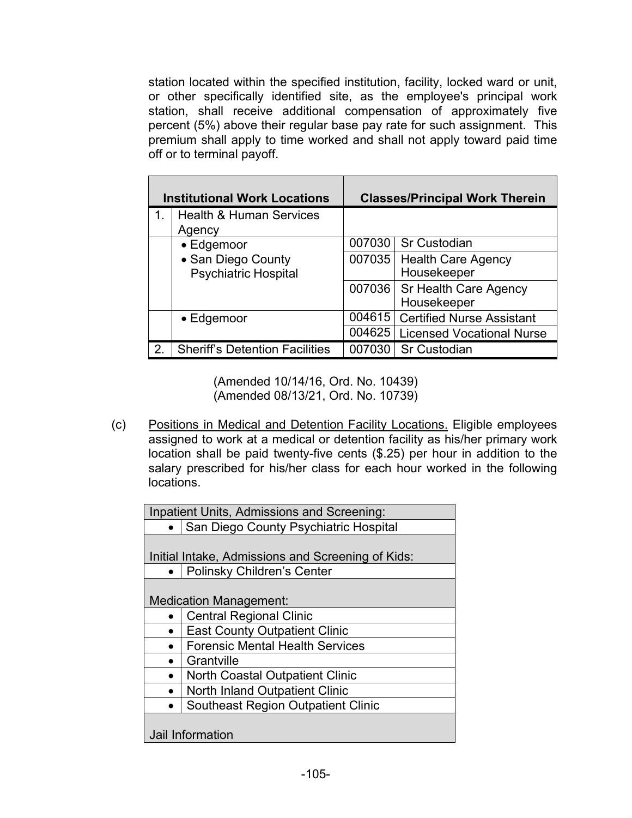station located within the specified institution, facility, locked ward or unit, or other specifically identified site, as the employee's principal work station, shall receive additional compensation of approximately five percent (5%) above their regular base pay rate for such assignment. This premium shall apply to time worked and shall not apply toward paid time off or to terminal payoff.

| <b>Institutional Work Locations</b> |                                                   |        | <b>Classes/Principal Work Therein</b>       |
|-------------------------------------|---------------------------------------------------|--------|---------------------------------------------|
| 1.                                  | <b>Health &amp; Human Services</b><br>Agency      |        |                                             |
|                                     | $\bullet$ Edgemoor                                | 007030 | <b>Sr Custodian</b>                         |
|                                     | • San Diego County<br><b>Psychiatric Hospital</b> | 007035 | <b>Health Care Agency</b><br>Housekeeper    |
|                                     |                                                   | 007036 | <b>Sr Health Care Agency</b><br>Housekeeper |
|                                     | $\bullet$ Edgemoor                                | 004615 | <b>Certified Nurse Assistant</b>            |
|                                     |                                                   |        | 004625   Licensed Vocational Nurse          |
| $\mathcal{P}$                       | <b>Sheriff's Detention Facilities</b>             | 007030 | <b>Sr Custodian</b>                         |

(Amended 10/14/16, Ord. No. 10439) (Amended 08/13/21, Ord. No. 10739)

(c) Positions in Medical and Detention Facility Locations. Eligible employees assigned to work at a medical or detention facility as his/her primary work location shall be paid twenty-five cents (\$.25) per hour in addition to the salary prescribed for his/her class for each hour worked in the following locations.

| Inpatient Units, Admissions and Screening:        |  |  |
|---------------------------------------------------|--|--|
|                                                   |  |  |
| • San Diego County Psychiatric Hospital           |  |  |
|                                                   |  |  |
| Initial Intake, Admissions and Screening of Kids: |  |  |
| <b>Polinsky Children's Center</b>                 |  |  |
|                                                   |  |  |
| <b>Medication Management:</b>                     |  |  |
| <b>Central Regional Clinic</b>                    |  |  |
| <b>East County Outpatient Clinic</b>              |  |  |
| <b>Forensic Mental Health Services</b>            |  |  |
| Grantville                                        |  |  |
| <b>North Coastal Outpatient Clinic</b>            |  |  |
| North Inland Outpatient Clinic                    |  |  |
| <b>Southeast Region Outpatient Clinic</b>         |  |  |
|                                                   |  |  |
| Jail Information                                  |  |  |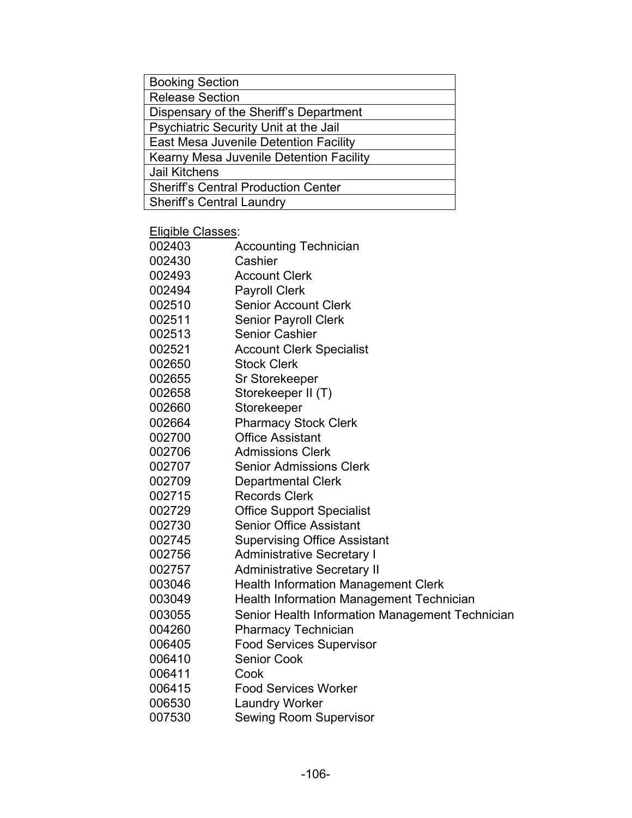| <b>Booking Section</b>                     |
|--------------------------------------------|
| <b>Release Section</b>                     |
| Dispensary of the Sheriff's Department     |
| Psychiatric Security Unit at the Jail      |
| East Mesa Juvenile Detention Facility      |
| Kearny Mesa Juvenile Detention Facility    |
| <b>Jail Kitchens</b>                       |
| <b>Sheriff's Central Production Center</b> |
| <b>Sheriff's Central Laundry</b>           |

Eligible Classes:

| ביישוט טושוש |                                                 |
|--------------|-------------------------------------------------|
| 002403       | <b>Accounting Technician</b>                    |
| 002430       | Cashier                                         |
| 002493       | <b>Account Clerk</b>                            |
| 002494       | <b>Payroll Clerk</b>                            |
| 002510       | <b>Senior Account Clerk</b>                     |
| 002511       | <b>Senior Payroll Clerk</b>                     |
| 002513       | <b>Senior Cashier</b>                           |
| 002521       | <b>Account Clerk Specialist</b>                 |
| 002650       | <b>Stock Clerk</b>                              |
| 002655       | Sr Storekeeper                                  |
| 002658       | Storekeeper II (T)                              |
| 002660       | Storekeeper                                     |
| 002664       | <b>Pharmacy Stock Clerk</b>                     |
| 002700       | <b>Office Assistant</b>                         |
| 002706       | <b>Admissions Clerk</b>                         |
| 002707       | <b>Senior Admissions Clerk</b>                  |
| 002709       | <b>Departmental Clerk</b>                       |
| 002715       | <b>Records Clerk</b>                            |
| 002729       | <b>Office Support Specialist</b>                |
| 002730       | <b>Senior Office Assistant</b>                  |
| 002745       | <b>Supervising Office Assistant</b>             |
| 002756       | <b>Administrative Secretary I</b>               |
| 002757       | <b>Administrative Secretary II</b>              |
| 003046       | <b>Health Information Management Clerk</b>      |
| 003049       | <b>Health Information Management Technician</b> |
| 003055       | Senior Health Information Management Technician |
| 004260       | <b>Pharmacy Technician</b>                      |
| 006405       | <b>Food Services Supervisor</b>                 |
| 006410       | <b>Senior Cook</b>                              |
| 006411       | Cook                                            |
| 006415       | <b>Food Services Worker</b>                     |
| 006530       | <b>Laundry Worker</b>                           |
| 007530       | <b>Sewing Room Supervisor</b>                   |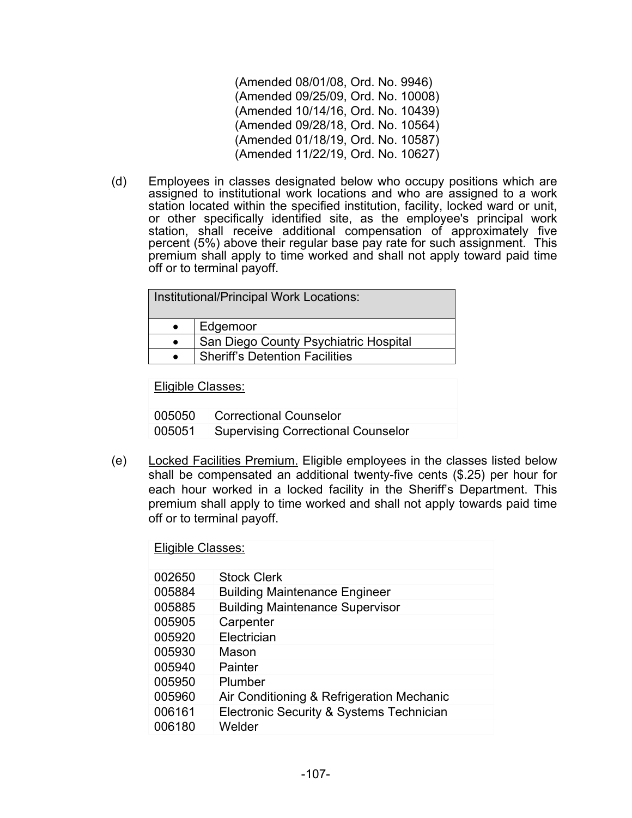(Amended 08/01/08, Ord. No. 9946) (Amended 09/25/09, Ord. No. 10008) (Amended 10/14/16, Ord. No. 10439) (Amended 09/28/18, Ord. No. 10564) (Amended 01/18/19, Ord. No. 10587) (Amended 11/22/19, Ord. No. 10627)

(d) Employees in classes designated below who occupy positions which are assigned to institutional work locations and who are assigned to a work station located within the specified institution, facility, locked ward or unit, or other specifically identified site, as the employee's principal work station, shall receive additional compensation of approximately five percent (5%) above their regular base pay rate for such assignment. This premium shall apply to time worked and shall not apply toward paid time off or to terminal payoff.

| Institutional/Principal Work Locations: |                                       |  |
|-----------------------------------------|---------------------------------------|--|
|                                         | Edgemoor                              |  |
|                                         | San Diego County Psychiatric Hospital |  |
|                                         | <b>Sheriff's Detention Facilities</b> |  |
|                                         |                                       |  |

Eligible Classes:

005050 Correctional Counselor 005051 Supervising Correctional Counselor

(e) Locked Facilities Premium. Eligible employees in the classes listed below shall be compensated an additional twenty-five cents (\$.25) per hour for each hour worked in a locked facility in the Sheriff's Department. This premium shall apply to time worked and shall not apply towards paid time off or to terminal payoff.

| Eligible Classes: |                                           |  |
|-------------------|-------------------------------------------|--|
| 002650            | <b>Stock Clerk</b>                        |  |
| 005884            | <b>Building Maintenance Engineer</b>      |  |
| 005885            | <b>Building Maintenance Supervisor</b>    |  |
| 005905            | Carpenter                                 |  |
| 005920            | Electrician                               |  |
| 005930            | Mason                                     |  |
| 005940            | Painter                                   |  |
| 005950            | Plumber                                   |  |
| 005960            | Air Conditioning & Refrigeration Mechanic |  |
| 006161            | Electronic Security & Systems Technician  |  |
| 006180            | Welder                                    |  |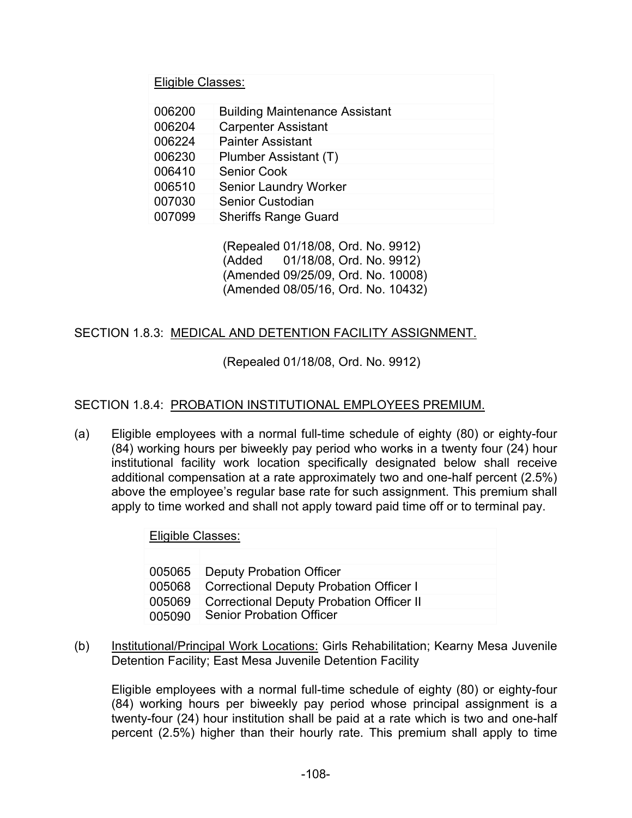Eligible Classes:

| 006200 | <b>Building Maintenance Assistant</b> |
|--------|---------------------------------------|
| 006204 | <b>Carpenter Assistant</b>            |
| 006224 | <b>Painter Assistant</b>              |
| 006230 | Plumber Assistant (T)                 |
| 006410 | <b>Senior Cook</b>                    |
| 006510 | <b>Senior Laundry Worker</b>          |
| 007030 | <b>Senior Custodian</b>               |
| 007099 | <b>Sheriffs Range Guard</b>           |

(Repealed 01/18/08, Ord. No. 9912) (Added 01/18/08, Ord. No. 9912) (Amended 09/25/09, Ord. No. 10008) (Amended 08/05/16, Ord. No. 10432)

# SECTION 1.8.3: MEDICAL AND DETENTION FACILITY ASSIGNMENT.

(Repealed 01/18/08, Ord. No. 9912)

### SECTION 1.8.4: PROBATION INSTITUTIONAL EMPLOYEES PREMIUM.

(a) Eligible employees with a normal full-time schedule of eighty (80) or eighty-four (84) working hours per biweekly pay period who works in a twenty four (24) hour institutional facility work location specifically designated below shall receive additional compensation at a rate approximately two and one-half percent (2.5%) above the employee's regular base rate for such assignment. This premium shall apply to time worked and shall not apply toward paid time off or to terminal pay.

| Eligible Classes: |                                                 |  |
|-------------------|-------------------------------------------------|--|
|                   |                                                 |  |
|                   | 005065   Deputy Probation Officer               |  |
| 005068            | Correctional Deputy Probation Officer I         |  |
| 005069            | <b>Correctional Deputy Probation Officer II</b> |  |
| 005090            | <b>Senior Probation Officer</b>                 |  |

(b) Institutional/Principal Work Locations: Girls Rehabilitation; Kearny Mesa Juvenile Detention Facility; East Mesa Juvenile Detention Facility

Eligible employees with a normal full-time schedule of eighty (80) or eighty-four (84) working hours per biweekly pay period whose principal assignment is a twenty-four (24) hour institution shall be paid at a rate which is two and one-half percent (2.5%) higher than their hourly rate. This premium shall apply to time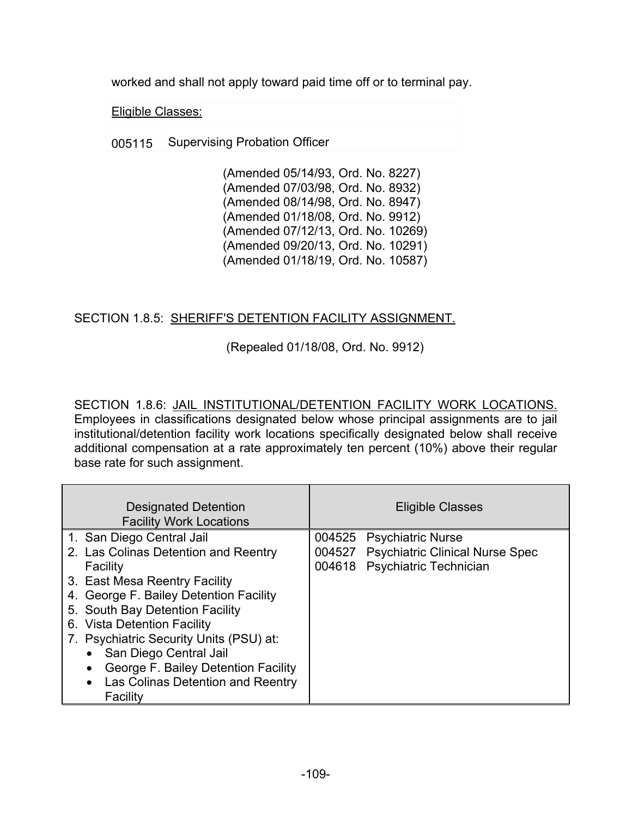worked and shall not apply toward paid time off or to terminal pay.

Eligible Classes:

005115 Supervising Probation Officer

(Amended 05/14/93, Ord. No. 8227) (Amended 07/03/98, Ord. No. 8932) (Amended 08/14/98, Ord. No. 8947) (Amended 01/18/08, Ord. No. 9912) (Amended 07/12/13, Ord. No. 10269) (Amended 09/20/13, Ord. No. 10291) (Amended 01/18/19, Ord. No. 10587)

## SECTION 1.8.5: SHERIFF'S DETENTION FACILITY ASSIGNMENT.

(Repealed 01/18/08, Ord. No. 9912)

SECTION 1.8.6: JAIL INSTITUTIONAL/DETENTION FACILITY WORK LOCATIONS. Employees in classifications designated below whose principal assignments are to jail institutional/detention facility work locations specifically designated below shall receive additional compensation at a rate approximately ten percent (10%) above their regular base rate for such assignment.

| <b>Designated Detention</b><br><b>Facility Work Locations</b> | <b>Eligible Classes</b>                |
|---------------------------------------------------------------|----------------------------------------|
| 1. San Diego Central Jail                                     | 004525 Psychiatric Nurse               |
| 2. Las Colinas Detention and Reentry                          | 004527 Psychiatric Clinical Nurse Spec |
| Facility                                                      | 004618 Psychiatric Technician          |
| 3. East Mesa Reentry Facility                                 |                                        |
| 4. George F. Bailey Detention Facility                        |                                        |
| 5. South Bay Detention Facility                               |                                        |
| 6. Vista Detention Facility                                   |                                        |
| 7. Psychiatric Security Units (PSU) at:                       |                                        |
| San Diego Central Jail                                        |                                        |
| George F. Bailey Detention Facility                           |                                        |
| Las Colinas Detention and Reentry                             |                                        |
| Facility                                                      |                                        |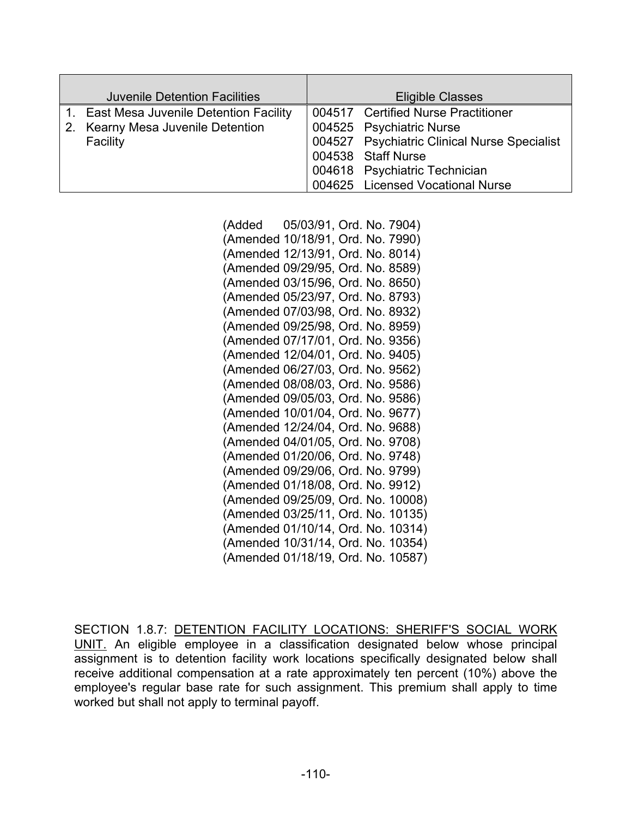| <b>Juvenile Detention Facilities</b>     | <b>Eligible Classes</b>                      |
|------------------------------------------|----------------------------------------------|
| 1. East Mesa Juvenile Detention Facility | 004517 Certified Nurse Practitioner          |
| 2. Kearny Mesa Juvenile Detention        | 004525 Psychiatric Nurse                     |
| Facility                                 | 004527 Psychiatric Clinical Nurse Specialist |
|                                          | 004538 Staff Nurse                           |
|                                          | 004618 Psychiatric Technician                |
|                                          | 004625 Licensed Vocational Nurse             |

(Added 05/03/91, Ord. No. 7904) (Amended 10/18/91, Ord. No. 7990) (Amended 12/13/91, Ord. No. 8014) (Amended 09/29/95, Ord. No. 8589) (Amended 03/15/96, Ord. No. 8650) (Amended 05/23/97, Ord. No. 8793) (Amended 07/03/98, Ord. No. 8932) (Amended 09/25/98, Ord. No. 8959) (Amended 07/17/01, Ord. No. 9356) (Amended 12/04/01, Ord. No. 9405) (Amended 06/27/03, Ord. No. 9562) (Amended 08/08/03, Ord. No. 9586) (Amended 09/05/03, Ord. No. 9586) (Amended 10/01/04, Ord. No. 9677) (Amended 12/24/04, Ord. No. 9688) (Amended 04/01/05, Ord. No. 9708) (Amended 01/20/06, Ord. No. 9748) (Amended 09/29/06, Ord. No. 9799) (Amended 01/18/08, Ord. No. 9912) (Amended 09/25/09, Ord. No. 10008) (Amended 03/25/11, Ord. No. 10135) (Amended 01/10/14, Ord. No. 10314) (Amended 10/31/14, Ord. No. 10354) (Amended 01/18/19, Ord. No. 10587)

SECTION 1.8.7: DETENTION FACILITY LOCATIONS: SHERIFF'S SOCIAL WORK UNIT. An eligible employee in a classification designated below whose principal assignment is to detention facility work locations specifically designated below shall receive additional compensation at a rate approximately ten percent (10%) above the employee's regular base rate for such assignment. This premium shall apply to time worked but shall not apply to terminal payoff.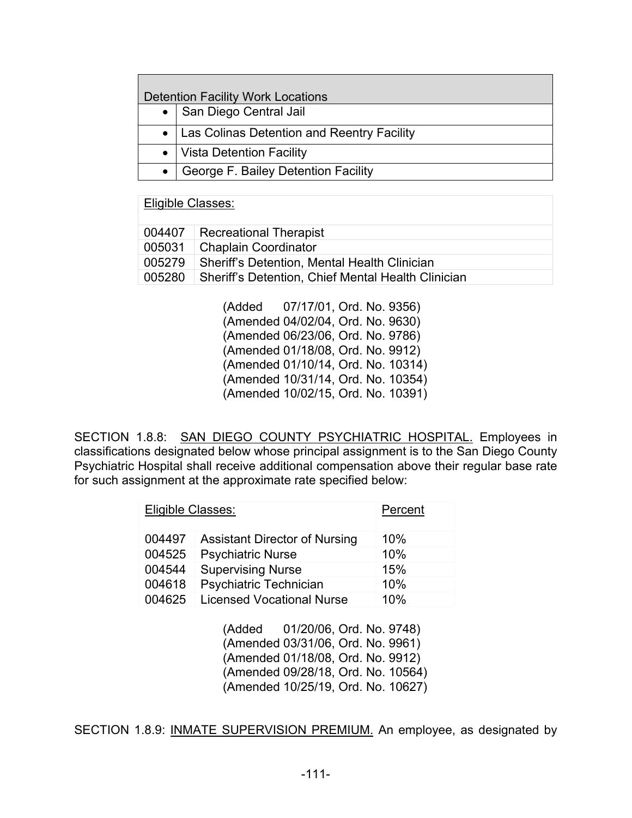| <b>Detention Facility Work Locations</b> |                                              |  |
|------------------------------------------|----------------------------------------------|--|
|                                          | • San Diego Central Jail                     |  |
|                                          | • Las Colinas Detention and Reentry Facility |  |
|                                          | •   Vista Detention Facility                 |  |
| $\bullet$                                | George F. Bailey Detention Facility          |  |

#### Eligible Classes:

| 004407   Recreational Therapist                             |
|-------------------------------------------------------------|
| 005031   Chaplain Coordinator                               |
| 005279 Sheriff's Detention, Mental Health Clinician         |
| 005280   Sheriff's Detention, Chief Mental Health Clinician |
|                                                             |

(Added 07/17/01, Ord. No. 9356) (Amended 04/02/04, Ord. No. 9630) (Amended 06/23/06, Ord. No. 9786) (Amended 01/18/08, Ord. No. 9912) (Amended 01/10/14, Ord. No. 10314) (Amended 10/31/14, Ord. No. 10354) (Amended 10/02/15, Ord. No. 10391)

SECTION 1.8.8: SAN DIEGO COUNTY PSYCHIATRIC HOSPITAL. Employees in classifications designated below whose principal assignment is to the San Diego County Psychiatric Hospital shall receive additional compensation above their regular base rate for such assignment at the approximate rate specified below:

| Eligible Classes:<br>Percent |                                      |     |
|------------------------------|--------------------------------------|-----|
| 004497                       | <b>Assistant Director of Nursing</b> | 10% |
| 004525                       | <b>Psychiatric Nurse</b>             | 10% |
| 004544                       | <b>Supervising Nurse</b>             | 15% |
| 004618                       | Psychiatric Technician               | 10% |
| 004625                       | <b>Licensed Vocational Nurse</b>     | 10% |

(Added 01/20/06, Ord. No. 9748) (Amended 03/31/06, Ord. No. 9961) (Amended 01/18/08, Ord. No. 9912) (Amended 09/28/18, Ord. No. 10564) (Amended 10/25/19, Ord. No. 10627)

SECTION 1.8.9: INMATE SUPERVISION PREMIUM. An employee, as designated by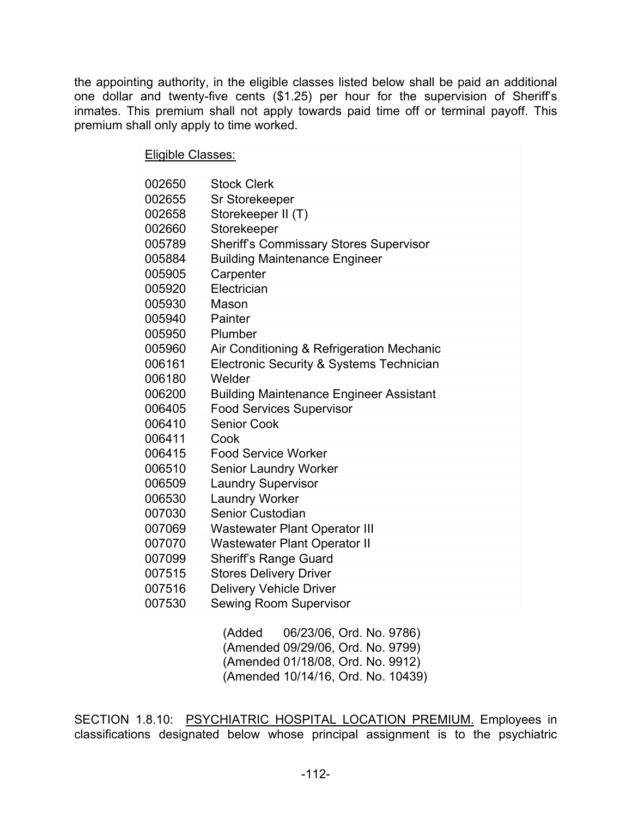the appointing authority, in the eligible classes listed below shall be paid an additional one dollar and twenty-five cents (\$1.25) per hour for the supervision of Sheriff's inmates. This premium shall not apply towards paid time off or terminal payoff. This premium shall only apply to time worked.

| <b>Eligible Classes:</b> |                                                |  |  |  |
|--------------------------|------------------------------------------------|--|--|--|
|                          |                                                |  |  |  |
| 002650                   | <b>Stock Clerk</b>                             |  |  |  |
| 002655                   | Sr Storekeeper                                 |  |  |  |
| 002658                   | Storekeeper II (T)                             |  |  |  |
| 002660                   | Storekeeper                                    |  |  |  |
| 005789                   | <b>Sheriff's Commissary Stores Supervisor</b>  |  |  |  |
| 005884                   | <b>Building Maintenance Engineer</b>           |  |  |  |
| 005905                   | Carpenter                                      |  |  |  |
| 005920                   | Electrician                                    |  |  |  |
| 005930                   | Mason                                          |  |  |  |
| 005940                   | Painter                                        |  |  |  |
| 005950                   | Plumber                                        |  |  |  |
| 005960                   | Air Conditioning & Refrigeration Mechanic      |  |  |  |
| 006161                   | Electronic Security & Systems Technician       |  |  |  |
| 006180                   | Welder                                         |  |  |  |
| 006200                   | <b>Building Maintenance Engineer Assistant</b> |  |  |  |
| 006405                   | <b>Food Services Supervisor</b>                |  |  |  |
| 006410                   | <b>Senior Cook</b>                             |  |  |  |
| 006411                   | Cook                                           |  |  |  |
| 006415                   | <b>Food Service Worker</b>                     |  |  |  |
| 006510                   | <b>Senior Laundry Worker</b>                   |  |  |  |
| 006509                   | <b>Laundry Supervisor</b>                      |  |  |  |
| 006530                   | <b>Laundry Worker</b>                          |  |  |  |
| 007030                   | <b>Senior Custodian</b>                        |  |  |  |
| 007069                   | <b>Wastewater Plant Operator III</b>           |  |  |  |
| 007070                   | <b>Wastewater Plant Operator II</b>            |  |  |  |
| 007099                   | <b>Sheriff's Range Guard</b>                   |  |  |  |
| 007515                   | <b>Stores Delivery Driver</b>                  |  |  |  |
| 007516                   | <b>Delivery Vehicle Driver</b>                 |  |  |  |
| 007530                   | <b>Sewing Room Supervisor</b>                  |  |  |  |

(Added 06/23/06, Ord. No. 9786) (Amended 09/29/06, Ord. No. 9799) (Amended 01/18/08, Ord. No. 9912) (Amended 10/14/16, Ord. No. 10439)

SECTION 1.8.10: PSYCHIATRIC HOSPITAL LOCATION PREMIUM. Employees in classifications designated below whose principal assignment is to the psychiatric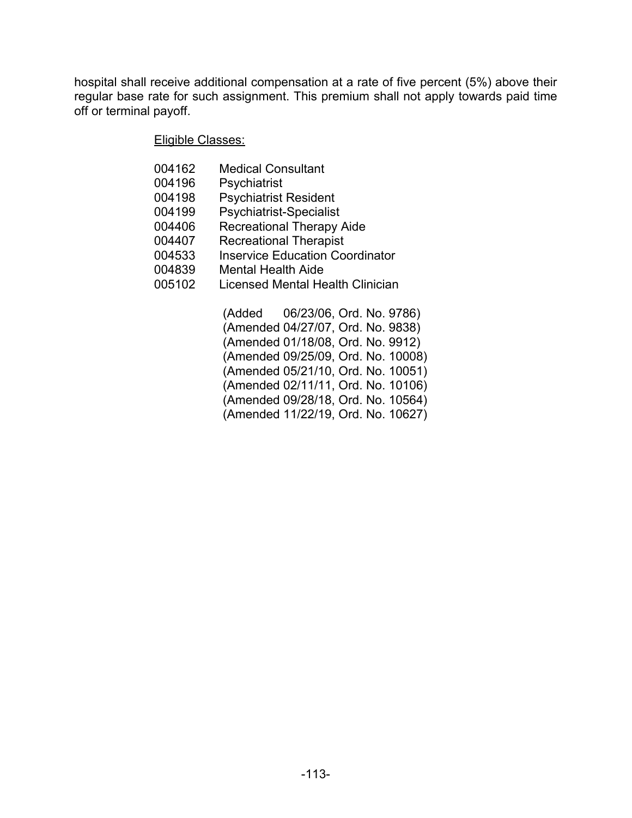hospital shall receive additional compensation at a rate of five percent (5%) above their regular base rate for such assignment. This premium shall not apply towards paid time off or terminal payoff.

Eligible Classes:

| 004162 | <b>Medical Consultant</b>              |  |
|--------|----------------------------------------|--|
| 004196 | Psychiatrist                           |  |
| 004198 | <b>Psychiatrist Resident</b>           |  |
| 004199 | <b>Psychiatrist-Specialist</b>         |  |
| 004406 | <b>Recreational Therapy Aide</b>       |  |
| 004407 | <b>Recreational Therapist</b>          |  |
| 004533 | <b>Inservice Education Coordinator</b> |  |
| 004839 | <b>Mental Health Aide</b>              |  |
| 005102 | Licensed Mental Health Clinician       |  |
|        |                                        |  |
|        |                                        |  |

|  | (Added 06/23/06, Ord. No. 9786)    |
|--|------------------------------------|
|  | (Amended 04/27/07, Ord. No. 9838)  |
|  | (Amended 01/18/08, Ord. No. 9912)  |
|  | (Amended 09/25/09, Ord. No. 10008) |
|  | (Amended 05/21/10, Ord. No. 10051) |
|  | (Amended 02/11/11, Ord. No. 10106) |
|  | (Amended 09/28/18, Ord. No. 10564) |
|  | (Amended 11/22/19, Ord. No. 10627) |
|  |                                    |